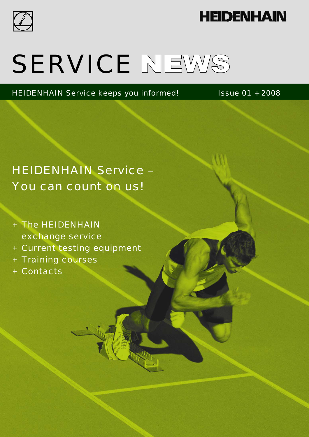

# **HEIDENHAIN**

# SERVICE NEWS

HEIDENHAIN Service keeps you informed! Issue 01 + 2008

# HEIDENHAIN Service – You can count on us!

- + The HEIDENHAIN exchange service
- + Current testing equipment
- + Training courses
- + Contacts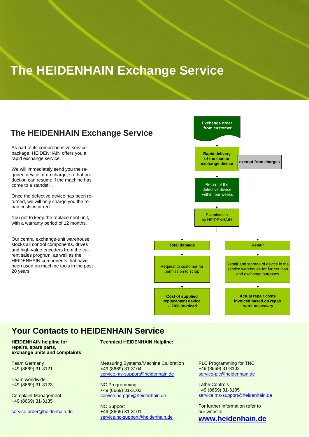# **The HEIDENHAIN Exchange Service**

### **The HEIDENHAIN Exchange Service**

As part of its comprehensive service package, HEIDENHAIN offers you a rapid exchange service.

We will immediately send you the required device at no charge, so that production can resume if the machine has come to a standstill.

Once the defective device has been returned, we will only charge you the repair costs incurred.

You get to keep the replacement unit, with a warranty period of 12 months.

Our central exchange-unit warehouse stocks all control components, drives and high-value encoders from the current sales program, as well as the HEIDENHAIN components that have been used on machine tools in the past 20 years.



### **Your Contacts to HEIDENHAIN Service**

**HEIDENHAIN helpline for repairs, spare parts, exchange units and complaints** 

Team Germany +49 (8669) 31-3121

Team worldwide +49 (8669) 31-3123

Complaint Management +49 (8669) 31-3135

service.order@heidenhain.de

### **Technical HEIDENHAIN Helpline:**

Measuring Systems/Machine Calibration +49 (8669) 31-3104 service.ms-support@heidenhain.de

NC Programming +49 (8669) 31-3103 service.nc-pgm@heidenhain.de

NC Support +49 (8669) 31-3101 service.nc-support@heidenhain.de PLC Programming for TNC +49 (8669) 31-3102 service-plc@heidenhain.de

Lathe Controls +49 (8669) 31-3105 service.ms-support@heidenhain.de

For further information refer to our website:

### **www.heidenhain.de**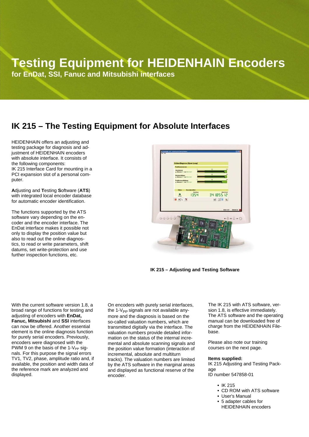# **Testing Equipment for HEIDENHAIN Encoders**

**for EnDat, SSI, Fanuc and Mitsubishi interfaces** 

### **IK 215 – The Testing Equipment for Absolute Interfaces**

HEIDENHAIN offers an adjusting and testing package for diagnosis and adjustment of HEIDENHAIN encoders with absolute interface. It consists of the following components: IK 215 Interface Card for mounting in a PCI expansion slot of a personal computer.

**A**djusting and **T**esting **S**oftware (**ATS**) with integrated local encoder database for automatic encoder identification.

The functions supported by the ATS software vary depending on the encoder and the encoder interface. The EnDat interface makes it possible not only to display the position value but also to read out the online diagnostics, to read or write parameters, shift datums, set write-protection and use further inspection functions, etc.



**IK 215 – Adjusting and Testing Software** 

With the current software version 1.8, a broad range of functions for testing and adjusting of encoders with **EnDat, Fanuc, Mitsubishi** and **SSI** interfaces can now be offered. Another essential element is the online diagnosis function for purely serial encoders. Previously, encoders were diagnosed with the PWM 9 on the basis of the  $1-V_{PP}$  signals. For this purpose the signal errors TV1, TV2, phase, amplitude ratio and, if available, the position and width data of the reference mark are analyzed and displayed.

On encoders with purely serial interfaces, the  $1-V_{\text{PD}}$  signals are not available anymore and the diagnosis is based on the so-called valuation numbers, which are transmitted digitally via the interface. The valuation numbers provide detailed information on the status of the internal incremental and absolute scanning signals and the position value formation (interaction of incremental, absolute and multiturn tracks). The valuation numbers are limited by the ATS software in the marginal areas and displayed as functional reserve of the encoder.

The IK 215 with ATS software, version 1.8, is effective immediately. The ATS software and the operating manual can be downloaded free of charge from the HEIDENHAIN Filebase.

Please also note our training courses on the next page.

#### **Items supplied:**

IK 215 Adjusting and Testing Package ID number 547858-01

- IK 215
- CD ROM with ATS software
- User's Manual
- 5 adapter cables for HEIDENHAIN encoders